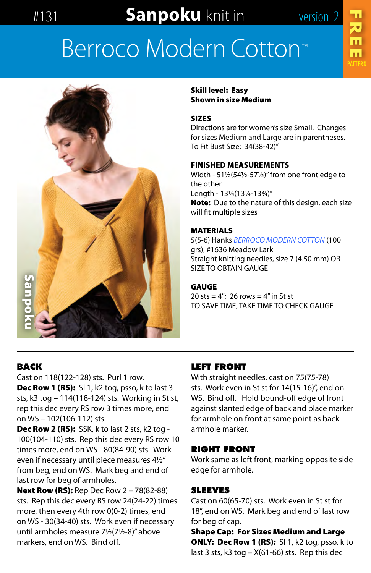# #131 **Sanpoku** knit in version 2

**FREE** 

# [Berroco Modern](http://www.berroco.com/yarns/berroco-modern-cotton) Cotton™



Skill level: Easy Shown in size Medium

#### SIZES

Directions are for women's size Small. Changes for sizes Medium and Large are in parentheses. To Fit Bust Size: 34(38-42)"

#### FINISHED MEASUREMENTS

Width - 51½(54½-57½)" from one front edge to the other Length - 13¼(13¼-13¾)" Note: Due to the nature of this design, each size will fit multiple sizes

#### MATERIALS

5(5-6) Hanks *[BERROCO MODERN COTTON](http://www.berroco.com/yarns/berroco-modern-cotton)* (100 grs), #1636 Meadow Lark Straight knitting needles, size 7 (4.50 mm) OR SIZE TO OBTAIN GAUGE

#### GAUGE

20 sts =  $4''$ ; 26 rows =  $4''$  in St st TO SAVE TIME, TAKE TIME TO CHECK GAUGE

# **BACK**

Cast on 118(122-128) sts. Purl 1 row. Dec Row 1 (RS): SI 1, k2 tog, psso, k to last 3 sts, k3 tog – 114(118-124) sts. Working in St st, rep this dec every RS row 3 times more, end on WS – 102(106-112) sts.

Dec Row 2 (RS): SSK, k to last 2 sts, k2 tog -100(104-110) sts. Rep this dec every RS row 10 times more, end on WS - 80(84-90) sts. Work even if necessary until piece measures 4½" from beg, end on WS. Mark beg and end of last row for beg of armholes.

**Next Row (RS):** Rep Dec Row 2 – 78(82-88) sts. Rep this dec every RS row 24(24-22) times more, then every 4th row 0(0-2) times, end on WS - 30(34-40) sts. Work even if necessary until armholes measure 7½(7½-8)" above markers, end on WS. Bind off.

# **LEFT FRONT**

With straight needles, cast on 75(75-78) sts. Work even in St st for 14(15-16)", end on WS. Bind off. Hold bound-off edge of front against slanted edge of back and place marker for armhole on front at same point as back armhole marker.

### **RIGHT FRONT**

Work same as left front, marking opposite side edge for armhole.

# **SLEEVES**

Cast on 60(65-70) sts. Work even in St st for 18", end on WS. Mark beg and end of last row for beg of cap.

Shape Cap: For Sizes Medium and Large **ONLY: Dec Row 1 (RS):** SI 1, k2 tog, psso, k to last 3 sts,  $k3$  tog –  $X(61-66)$  sts. Rep this dec